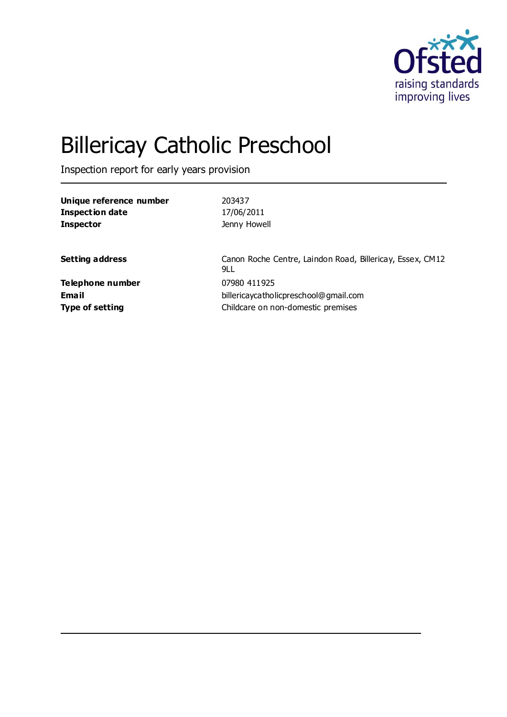

# Billericay Catholic Preschool

Inspection report for early years provision

| Unique reference number | 203437                                                           |
|-------------------------|------------------------------------------------------------------|
| <b>Inspection date</b>  | 17/06/2011                                                       |
| <b>Inspector</b>        | Jenny Howell                                                     |
| <b>Setting address</b>  | Canon Roche Centre, Laindon Road, Billericay, Essex, CM12<br>9LL |
| Telephone number        | 07980 411925                                                     |
| <b>Email</b>            | billericaycatholicpreschool@gmail.com                            |
| <b>Type of setting</b>  | Childcare on non-domestic premises                               |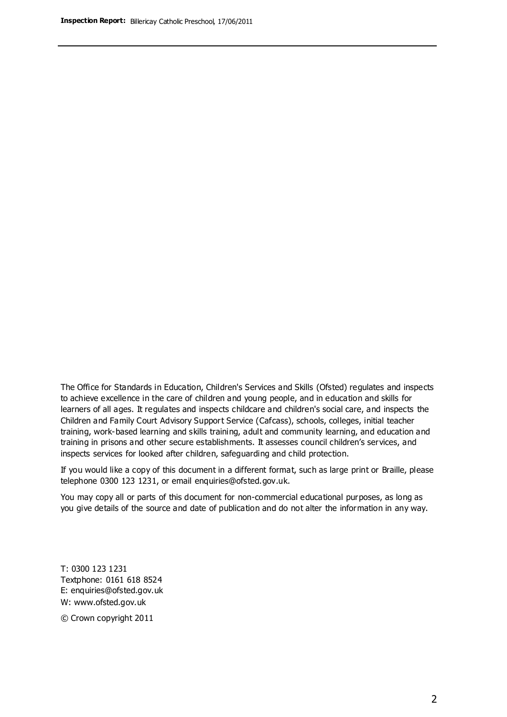The Office for Standards in Education, Children's Services and Skills (Ofsted) regulates and inspects to achieve excellence in the care of children and young people, and in education and skills for learners of all ages. It regulates and inspects childcare and children's social care, and inspects the Children and Family Court Advisory Support Service (Cafcass), schools, colleges, initial teacher training, work-based learning and skills training, adult and community learning, and education and training in prisons and other secure establishments. It assesses council children's services, and inspects services for looked after children, safeguarding and child protection.

If you would like a copy of this document in a different format, such as large print or Braille, please telephone 0300 123 1231, or email enquiries@ofsted.gov.uk.

You may copy all or parts of this document for non-commercial educational purposes, as long as you give details of the source and date of publication and do not alter the information in any way.

T: 0300 123 1231 Textphone: 0161 618 8524 E: enquiries@ofsted.gov.uk W: [www.ofsted.gov.uk](http://www.ofsted.gov.uk/)

© Crown copyright 2011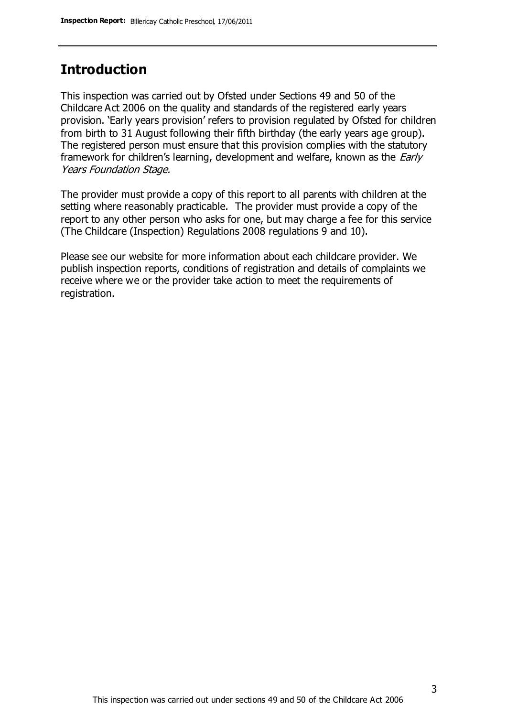## **Introduction**

This inspection was carried out by Ofsted under Sections 49 and 50 of the Childcare Act 2006 on the quality and standards of the registered early years provision. 'Early years provision' refers to provision regulated by Ofsted for children from birth to 31 August following their fifth birthday (the early years age group). The registered person must ensure that this provision complies with the statutory framework for children's learning, development and welfare, known as the *Early* Years Foundation Stage.

The provider must provide a copy of this report to all parents with children at the setting where reasonably practicable. The provider must provide a copy of the report to any other person who asks for one, but may charge a fee for this service (The Childcare (Inspection) Regulations 2008 regulations 9 and 10).

Please see our website for more information about each childcare provider. We publish inspection reports, conditions of registration and details of complaints we receive where we or the provider take action to meet the requirements of registration.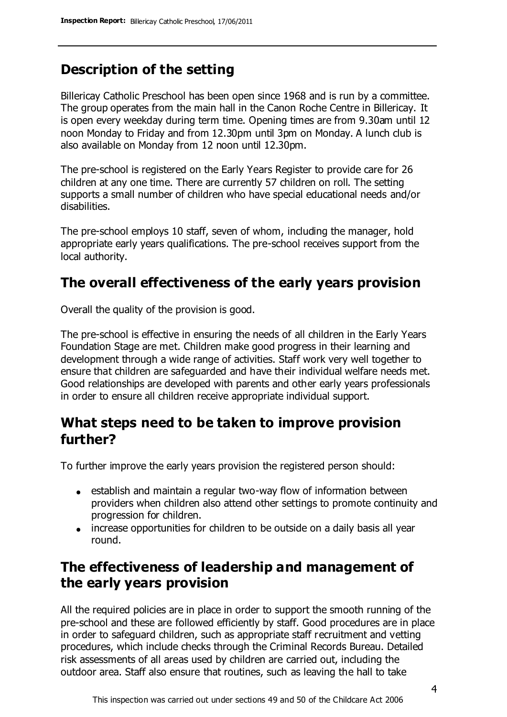# **Description of the setting**

Billericay Catholic Preschool has been open since 1968 and is run by a committee. The group operates from the main hall in the Canon Roche Centre in Billericay. It is open every weekday during term time. Opening times are from 9.30am until 12 noon Monday to Friday and from 12.30pm until 3pm on Monday. A lunch club is also available on Monday from 12 noon until 12.30pm.

The pre-school is registered on the Early Years Register to provide care for 26 children at any one time. There are currently 57 children on roll. The setting supports a small number of children who have special educational needs and/or disabilities.

The pre-school employs 10 staff, seven of whom, including the manager, hold appropriate early years qualifications. The pre-school receives support from the local authority.

## **The overall effectiveness of the early years provision**

Overall the quality of the provision is good.

The pre-school is effective in ensuring the needs of all children in the Early Years Foundation Stage are met. Children make good progress in their learning and development through a wide range of activities. Staff work very well together to ensure that children are safeguarded and have their individual welfare needs met. Good relationships are developed with parents and other early years professionals in order to ensure all children receive appropriate individual support.

## **What steps need to be taken to improve provision further?**

To further improve the early years provision the registered person should:

- establish and maintain a regular two-way flow of information between providers when children also attend other settings to promote continuity and progression for children.
- increase opportunities for children to be outside on a daily basis all year round.

# **The effectiveness of leadership and management of the early years provision**

All the required policies are in place in order to support the smooth running of the pre-school and these are followed efficiently by staff. Good procedures are in place in order to safeguard children, such as appropriate staff recruitment and vetting procedures, which include checks through the Criminal Records Bureau. Detailed risk assessments of all areas used by children are carried out, including the outdoor area. Staff also ensure that routines, such as leaving the hall to take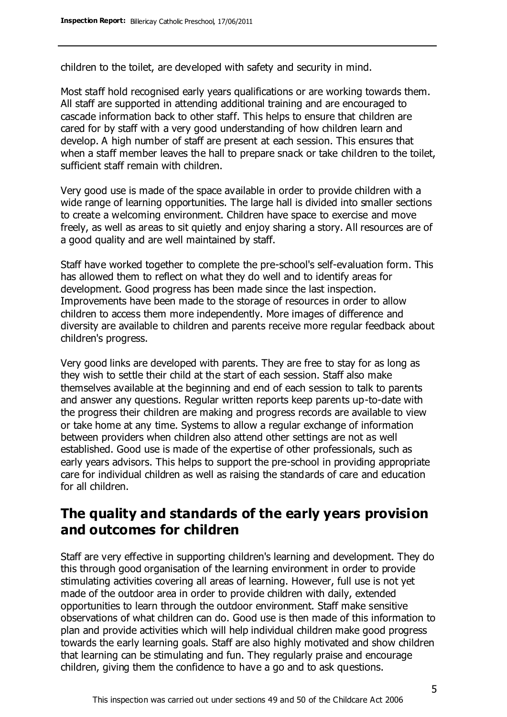children to the toilet, are developed with safety and security in mind.

Most staff hold recognised early years qualifications or are working towards them. All staff are supported in attending additional training and are encouraged to cascade information back to other staff. This helps to ensure that children are cared for by staff with a very good understanding of how children learn and develop. A high number of staff are present at each session. This ensures that when a staff member leaves the hall to prepare snack or take children to the toilet, sufficient staff remain with children.

Very good use is made of the space available in order to provide children with a wide range of learning opportunities. The large hall is divided into smaller sections to create a welcoming environment. Children have space to exercise and move freely, as well as areas to sit quietly and enjoy sharing a story. All resources are of a good quality and are well maintained by staff.

Staff have worked together to complete the pre-school's self-evaluation form. This has allowed them to reflect on what they do well and to identify areas for development. Good progress has been made since the last inspection. Improvements have been made to the storage of resources in order to allow children to access them more independently. More images of difference and diversity are available to children and parents receive more regular feedback about children's progress.

Very good links are developed with parents. They are free to stay for as long as they wish to settle their child at the start of each session. Staff also make themselves available at the beginning and end of each session to talk to parents and answer any questions. Regular written reports keep parents up-to-date with the progress their children are making and progress records are available to view or take home at any time. Systems to allow a regular exchange of information between providers when children also attend other settings are not as well established. Good use is made of the expertise of other professionals, such as early years advisors. This helps to support the pre-school in providing appropriate care for individual children as well as raising the standards of care and education for all children.

## **The quality and standards of the early years provision and outcomes for children**

Staff are very effective in supporting children's learning and development. They do this through good organisation of the learning environment in order to provide stimulating activities covering all areas of learning. However, full use is not yet made of the outdoor area in order to provide children with daily, extended opportunities to learn through the outdoor environment. Staff make sensitive observations of what children can do. Good use is then made of this information to plan and provide activities which will help individual children make good progress towards the early learning goals. Staff are also highly motivated and show children that learning can be stimulating and fun. They regularly praise and encourage children, giving them the confidence to have a go and to ask questions.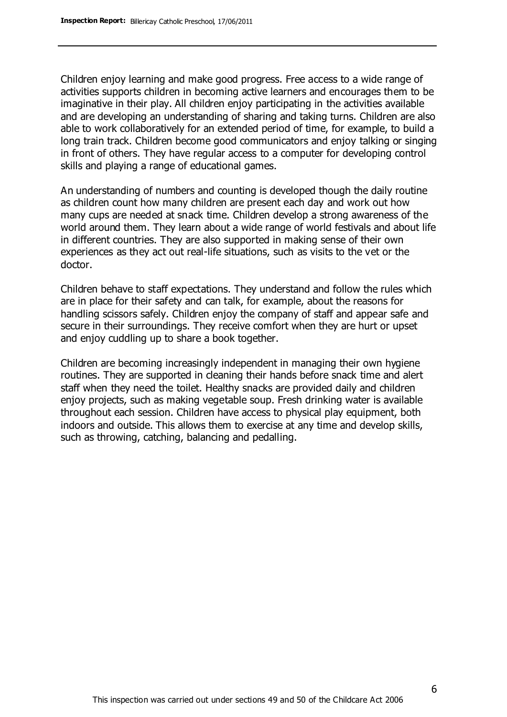Children enjoy learning and make good progress. Free access to a wide range of activities supports children in becoming active learners and encourages them to be imaginative in their play. All children enjoy participating in the activities available and are developing an understanding of sharing and taking turns. Children are also able to work collaboratively for an extended period of time, for example, to build a long train track. Children become good communicators and enjoy talking or singing in front of others. They have regular access to a computer for developing control skills and playing a range of educational games.

An understanding of numbers and counting is developed though the daily routine as children count how many children are present each day and work out how many cups are needed at snack time. Children develop a strong awareness of the world around them. They learn about a wide range of world festivals and about life in different countries. They are also supported in making sense of their own experiences as they act out real-life situations, such as visits to the vet or the doctor.

Children behave to staff expectations. They understand and follow the rules which are in place for their safety and can talk, for example, about the reasons for handling scissors safely. Children enjoy the company of staff and appear safe and secure in their surroundings. They receive comfort when they are hurt or upset and enjoy cuddling up to share a book together.

Children are becoming increasingly independent in managing their own hygiene routines. They are supported in cleaning their hands before snack time and alert staff when they need the toilet. Healthy snacks are provided daily and children enjoy projects, such as making vegetable soup. Fresh drinking water is available throughout each session. Children have access to physical play equipment, both indoors and outside. This allows them to exercise at any time and develop skills, such as throwing, catching, balancing and pedalling.